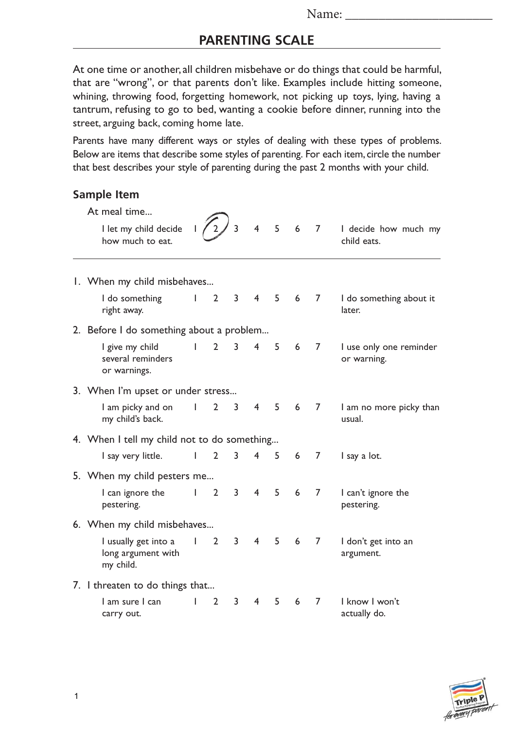## **PARENTING SCALE**

At one time or another, all children misbehave or do things that could be harmful, that are "wrong", or that parents don't like. Examples include hitting someone, whining, throwing food, forgetting homework, not picking up toys, lying, having a tantrum, refusing to go to bed, wanting a cookie before dinner, running into the street, arguing back, coming home late.

Parents have many different ways or styles of dealing with these types of problems. Below are items that describe some styles of parenting. For each item, circle the number that best describes your style of parenting during the past 2 months with your child.

## **Sample Item**

|  | At meal time                                            |              |                |   |                |                |                |                |                                        |  |  |
|--|---------------------------------------------------------|--------------|----------------|---|----------------|----------------|----------------|----------------|----------------------------------------|--|--|
|  | I let my child decide<br>how much to eat.               |              |                | 3 | $\overline{4}$ | 5 <sup>7</sup> | 6              | $\overline{7}$ | I decide how much my<br>child eats.    |  |  |
|  | 1. When my child misbehaves                             |              |                |   |                |                |                |                |                                        |  |  |
|  | I do something<br>right away.                           | L            | $\overline{2}$ | 3 | $\overline{4}$ |                | 5 <sub>6</sub> | $\overline{7}$ | I do something about it<br>later.      |  |  |
|  | 2. Before I do something about a problem                |              |                |   |                |                |                |                |                                        |  |  |
|  | I give my child<br>several reminders<br>or warnings.    | L            | $\overline{2}$ | 3 | 4              | 5              | 6              | 7              | I use only one reminder<br>or warning. |  |  |
|  | 3. When I'm upset or under stress                       |              |                |   |                |                |                |                |                                        |  |  |
|  | I am picky and on<br>my child's back.                   | L            | $\overline{2}$ | 3 | $4 \quad$      | 5              | 6              | 7              | I am no more picky than<br>usual.      |  |  |
|  | 4. When I tell my child not to do something             |              |                |   |                |                |                |                |                                        |  |  |
|  | I say very little.                                      | L            | $\overline{2}$ | 3 | $\overline{4}$ | 5              | 6              | 7              | I say a lot.                           |  |  |
|  | 5. When my child pesters me                             |              |                |   |                |                |                |                |                                        |  |  |
|  | I can ignore the<br>pestering.                          | $\mathbf{L}$ | $\overline{2}$ | 3 | $\overline{4}$ | 5              | 6              | $\overline{7}$ | I can't ignore the<br>pestering.       |  |  |
|  | 6. When my child misbehaves                             |              |                |   |                |                |                |                |                                        |  |  |
|  | I usually get into a<br>long argument with<br>my child. | L            | $\overline{2}$ | 3 | 4              | 5              | 6              | $\overline{7}$ | I don't get into an<br>argument.       |  |  |
|  | 7. I threaten to do things that                         |              |                |   |                |                |                |                |                                        |  |  |
|  | l am sure l can<br>carry out.                           |              | $\overline{2}$ | 3 | 4              | 5              | 6              | 7              | I know I won't<br>actually do.         |  |  |

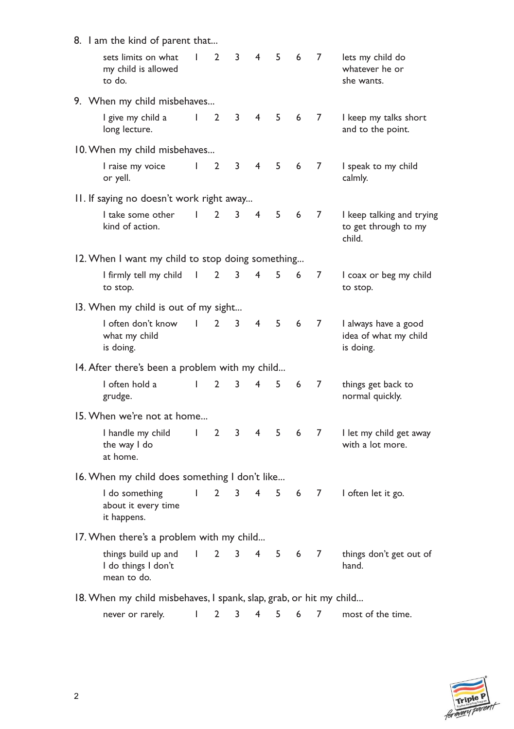| 8. I am the kind of parent that                                                       |              |                |              |                |     |   |       |                                                             |
|---------------------------------------------------------------------------------------|--------------|----------------|--------------|----------------|-----|---|-------|-------------------------------------------------------------|
| sets limits on what<br>my child is allowed<br>to do.                                  | $\mathbf{I}$ | $\mathbf{2}$   | 3            | 4              | 5   | 6 | 7     | lets my child do<br>whatever he or<br>she wants.            |
| 9. When my child misbehaves                                                           |              |                |              |                |     |   |       |                                                             |
| I give my child a<br>long lecture.                                                    | $\mathbf{I}$ | $\overline{2}$ | 3            | $\overline{4}$ | 5   | 6 | 7     | I keep my talks short<br>and to the point.                  |
| 10. When my child misbehaves                                                          |              |                |              |                |     |   |       |                                                             |
| I raise my voice<br>or yell.                                                          | L            | $\overline{2}$ | 3            | $\overline{4}$ | 5   | 6 | 7     | I speak to my child<br>calmly.                              |
| II. If saying no doesn't work right away                                              |              |                |              |                |     |   |       |                                                             |
| I take some other<br>kind of action.                                                  | L            | $\mathbf{2}$   | 3            | 4              | 5   | 6 | 7     | I keep talking and trying<br>to get through to my<br>child. |
| 12. When I want my child to stop doing something                                      |              |                |              |                |     |   |       |                                                             |
| I firmly tell my child<br>to stop.                                                    | $\mathbf{I}$ | 2              | 3            | 4              | 5   | 6 | 7     | I coax or beg my child<br>to stop.                          |
| 13. When my child is out of my sight                                                  |              |                |              |                |     |   |       |                                                             |
| I often don't know<br>what my child<br>is doing.                                      | $\mathbf{I}$ | $\mathbf{2}$   | 3            | 4              | 5   | 6 | 7     | I always have a good<br>idea of what my child<br>is doing.  |
| 14. After there's been a problem with my child                                        |              |                |              |                |     |   |       |                                                             |
| I often hold a<br>grudge.                                                             | L            | $\overline{2}$ | 3            | 4              | 5   | 6 | 7     | things get back to<br>normal quickly.                       |
| 15. When we're not at home                                                            |              |                |              |                |     |   |       |                                                             |
| I handle my child<br>the way I do<br>at home.                                         | $\mathbf{I}$ | $\overline{2}$ | 3            | 4              | 5   | 6 | 7     | I let my child get away<br>with a lot more.                 |
| 16. When my child does something I don't like                                         |              |                |              |                |     |   |       |                                                             |
| I do something 1 2 3 4 5 6 7 I often let it go.<br>about it every time<br>it happens. |              |                |              |                |     |   |       |                                                             |
| 17. When there's a problem with my child                                              |              |                |              |                |     |   |       |                                                             |
| things build up and<br>I do things I don't<br>mean to do.                             | $\mathbf{L}$ | $2^{\circ}$    | $\mathbf{3}$ | $4 \quad$      |     |   | 5 6 7 | things don't get out of<br>hand.                            |
| 18. When my child misbehaves, I spank, slap, grab, or hit my child                    |              |                |              |                |     |   |       |                                                             |
| never or rarely.                                                                      |              | $1 \quad 2$    | $3^{\circ}$  |                | 4 5 | 6 | 7     | most of the time.                                           |